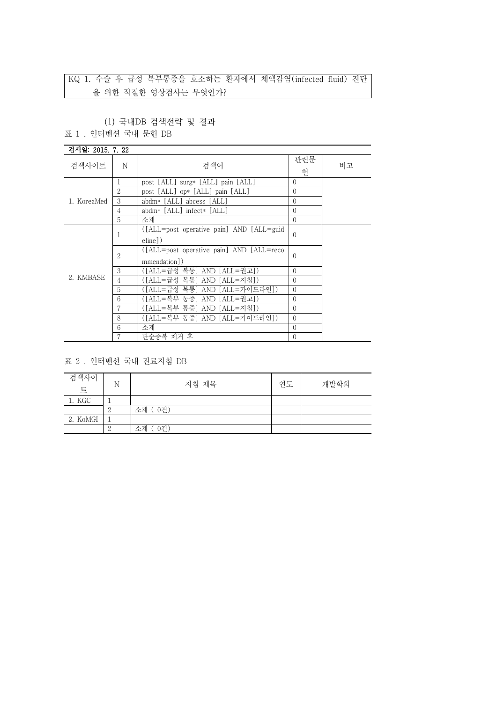KQ 1. 수술 후 급성 복부통증을 호소하는 환자에서 체액감염(infected fluid) 진단 을 위한 적절한 영상검사는 무엇인가?

(1) 국내DB 검색전략 및 결과

표 1 . 인터벤션 국내 문헌 DB

| 검색일: 2015, 7, 22 |                |                                           |          |    |
|------------------|----------------|-------------------------------------------|----------|----|
| 검색사이트            | N              | 검색어                                       | 관련문<br>헌 | 비고 |
|                  |                | post [ALL] surg* [ALL] pain [ALL]         | $\Omega$ |    |
|                  | 2              | post [ALL] op* [ALL] pain [ALL]           | $\Omega$ |    |
| 1. KoreaMed      | 3              | abdm* [ALL] abcess [ALL]                  | $\Omega$ |    |
|                  | 4              | abdm* [ALL] infect* [ALL]                 | $\Omega$ |    |
|                  | 5              | 소계                                        | $\Omega$ |    |
|                  | 1              | ([ALL=post operative pain] AND [ALL=guid] | $\Omega$ |    |
|                  |                | eline])                                   |          |    |
|                  | $\overline{2}$ | ([ALL=post operative pain] AND [ALL=reco  | $\Omega$ |    |
|                  |                | mmendation <sup>1</sup> )                 |          |    |
|                  | 3              | ([ALL=급성 복통] AND [ALL=권고])                | $\Omega$ |    |
| 2. KMBASE        | $\overline{4}$ | ([ALL=급성 복통] AND [ALL=지침])                | $\Omega$ |    |
|                  | 5              | ([ALL=급성 복통] AND [ALL=가이드라인])             | $\Omega$ |    |
|                  | 6              | ([ALL=복부 통증] AND [ALL=권고])                | $\Omega$ |    |
|                  | 7              | ([ALL=복부 통증] AND [ALL=지침])                | $\Omega$ |    |
|                  | 8              | ([ALL=복부 통증] AND [ALL=가이드라인])             | $\Omega$ |    |
|                  | 6              | 소계                                        | $\Omega$ |    |
|                  | 7              | 단순중복 제거 후                                 | $\Omega$ |    |

표 2 . 인터벤션 국내 진료지침 DB

| 검색사이<br>트 | N | 지침 제목     | 여도 | 개발학회 |
|-----------|---|-----------|----|------|
| 1. KGC    |   |           |    |      |
|           |   | 소계 (0건)   |    |      |
| 2. KoMGI  |   |           |    |      |
|           |   | 수계<br>0건) |    |      |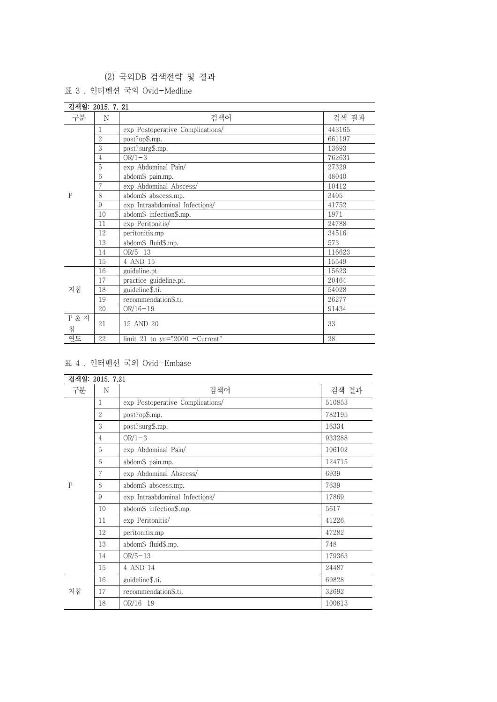## (2) 국외DB 검색전략 및 결과

표 3 . 인터벤션 국외 Ovid-Medline

|                       | 검색일: 2015. 7. 21 |                                  |        |
|-----------------------|------------------|----------------------------------|--------|
| 구분                    | N                | 검색어                              | 검색 결과  |
|                       | 1                | exp Postoperative Complications/ | 443165 |
|                       | $\overline{2}$   | post?op\$.mp.                    | 661197 |
|                       | 3                | post?surg\$.mp.                  | 13693  |
|                       | 4                | $OR/1-3$                         | 762631 |
|                       | 5                | exp Abdominal Pain/              | 27329  |
|                       | 6                | abdom\$ pain.mp.                 | 48040  |
|                       | 7                | exp Abdominal Abscess/           | 10412  |
| P                     | 8                | abdom\$ abscess.mp.              | 3405   |
|                       | 9                | exp Intraabdominal Infections/   | 41752  |
|                       | 10               | abdom\$ infection\$.mp.          | 1971   |
|                       | 11               | exp Peritonitis/                 | 24788  |
|                       | 12               | peritonitis.mp                   | 34516  |
|                       | 13               | abdom\$ fluid\$.mp.              | 573    |
|                       | 14               | $OR/5-13$                        | 116623 |
|                       | 15               | 4 AND 15                         | 15549  |
|                       | 16               | guideline.pt.                    | 15623  |
|                       | 17               | practice guideline.pt.           | 20464  |
| 지침                    | 18               | guideline\$.ti.                  | 54028  |
|                       | 19               | recommendation\$.ti.             | 26277  |
|                       | 20               | $OR/16 - 19$                     | 91434  |
| <b>P &amp; 지</b><br>침 | 21               | 15 AND 20                        | 33     |
| 연도                    | 22               | limit 21 to $yr="2000 -Current"$ | 28     |

## 표 4 . 인터벤션 국외 Ovid-Embase

|             | 검색일: 2015. 7.21 |                                  |        |  |
|-------------|-----------------|----------------------------------|--------|--|
| 구분          | N               | 검색어                              | 검색 결과  |  |
|             | 1               | exp Postoperative Complications/ | 510853 |  |
|             | $\overline{2}$  | post?op\$.mp.                    | 782195 |  |
|             | 3               | post?surg\$.mp.                  | 16334  |  |
|             | 4               | $OR/1-3$                         | 933288 |  |
|             | 5               | exp Abdominal Pain/              | 106102 |  |
|             | 6               | abdom\$ pain.mp.                 | 124715 |  |
|             | 7               | exp Abdominal Abscess/           | 6939   |  |
| $\mathbf P$ | 8               | abdom\$ abscess.mp.              | 7639   |  |
|             | 9               | exp Intraabdominal Infections/   | 17869  |  |
|             | 10              | abdom\$ infection\$.mp.          | 5617   |  |
|             | 11              | exp Peritonitis/                 | 41226  |  |
|             | 12              | peritonitis.mp                   | 47282  |  |
|             | 13              | abdom\$ fluid\$.mp.              | 748    |  |
|             | 14              | $OR/5-13$                        | 179363 |  |
|             | 15              | 4 AND 14                         | 24487  |  |
|             | 16              | guideline\$.ti.                  | 69828  |  |
| 지침          | 17              | recommendation\$.ti.             | 32692  |  |
|             | 18              | $OR/16 - 19$                     | 100813 |  |